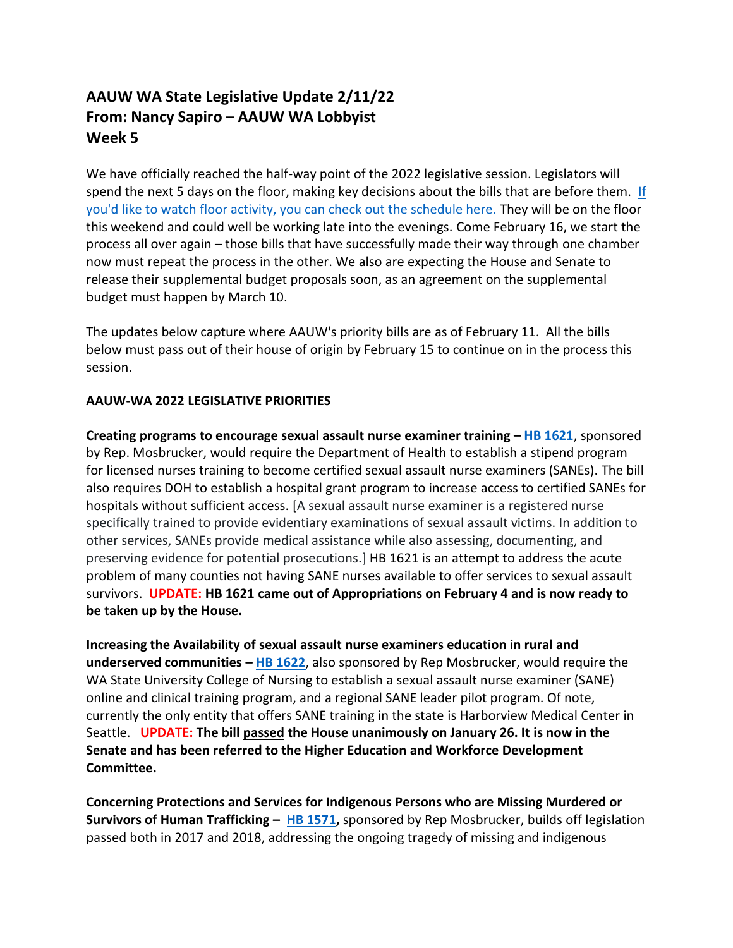## **AAUW WA State Legislative Update 2/11/22 From: Nancy Sapiro – AAUW WA Lobbyist Week 5**

We have officially reached the half-way point of the 2022 legislative session. Legislators will spend the next 5 days on the floor, making key decisions about the bills that are before them. [If](https://tvw.org/schedule/)  you'd like to watch [floor activity, you can check out the schedule here.](https://tvw.org/schedule/) They will be on the floor this weekend and could well be working late into the evenings. Come February 16, we start the process all over again – those bills that have successfully made their way through one chamber now must repeat the process in the other. We also are expecting the House and Senate to release their supplemental budget proposals soon, as an agreement on the supplemental budget must happen by March 10.

The updates below capture where AAUW's priority bills are as of February 11. All the bills below must pass out of their house of origin by February 15 to continue on in the process this session.

## **AAUW-WA 2022 LEGISLATIVE PRIORITIES**

**Creating programs to encourage sexual assault nurse examiner training – [HB 1621](https://app.leg.wa.gov/billsummary?BillNumber=1621&Year=2021&Initiative=false)**, sponsored by Rep. Mosbrucker, would require the Department of Health to establish a stipend program for licensed nurses training to become certified sexual assault nurse examiners (SANEs). The bill also requires DOH to establish a hospital grant program to increase access to certified SANEs for hospitals without sufficient access. [A sexual assault nurse examiner is a registered nurse specifically trained to provide evidentiary examinations of sexual assault victims. In addition to other services, SANEs provide medical assistance while also assessing, documenting, and preserving evidence for potential prosecutions.] HB 1621 is an attempt to address the acute problem of many counties not having SANE nurses available to offer services to sexual assault survivors. **UPDATE: HB 1621 came out of Appropriations on February 4 and is now ready to be taken up by the House.** 

**Increasing the Availability of sexual assault nurse examiners education in rural and underserved communities – [HB 1622](https://app.leg.wa.gov/billsummary?BillNumber=1622&Initiative=false&Year=2021)**, also sponsored by Rep Mosbrucker, would require the WA State University College of Nursing to establish a sexual assault nurse examiner (SANE) online and clinical training program, and a regional SANE leader pilot program. Of note, currently the only entity that offers SANE training in the state is Harborview Medical Center in Seattle. **UPDATE: The bill passed the House unanimously on January 26. It is now in the Senate and has been referred to the Higher Education and Workforce Development Committee.** 

**Concerning Protections and Services for Indigenous Persons who are Missing Murdered or Survivors of Human Trafficking – [HB 1571,](https://app.leg.wa.gov/billsummary?BillNumber=1571&Year=2021&Initiative=false)** sponsored by Rep Mosbrucker, builds off legislation passed both in 2017 and 2018, addressing the ongoing tragedy of missing and indigenous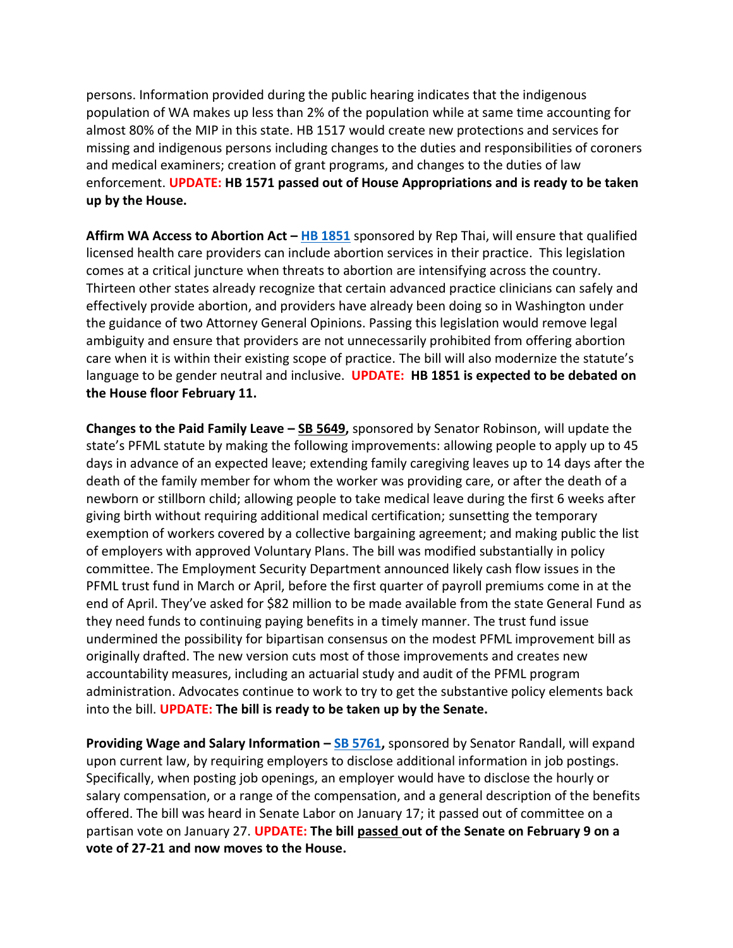persons. Information provided during the public hearing indicates that the indigenous population of WA makes up less than 2% of the population while at same time accounting for almost 80% of the MIP in this state. HB 1517 would create new protections and services for missing and indigenous persons including changes to the duties and responsibilities of coroners and medical examiners; creation of grant programs, and changes to the duties of law enforcement. **UPDATE: HB 1571 passed out of House Appropriations and is ready to be taken up by the House.** 

**Affirm WA Access to Abortion Act – [HB 1851](https://app.leg.wa.gov/billsummary?BillNumber=1851&Initiative=false&Year=2021)** sponsored by Rep Thai, will ensure that qualified licensed health care providers can include abortion services in their practice. This legislation comes at a critical juncture when threats to abortion are intensifying across the country. Thirteen other states already recognize that certain advanced practice clinicians can safely and effectively provide abortion, and providers have already been doing so in Washington under the guidance of two Attorney General Opinions. Passing this legislation would remove legal ambiguity and ensure that providers are not unnecessarily prohibited from offering abortion care when it is within their existing scope of practice. The bill will also modernize the statute's language to be gender neutral and inclusive. **UPDATE: HB 1851 is expected to be debated on the House floor February 11.**

**Changes to the Paid Family Leave – [SB 5649,](https://app.leg.wa.gov/billsummary?BillNumber=5649&Year=2021&Initiative=false)** sponsored by Senator Robinson, will update the state's PFML statute by making the following improvements: allowing people to apply up to 45 days in advance of an expected leave; extending family caregiving leaves up to 14 days after the death of the family member for whom the worker was providing care, or after the death of a newborn or stillborn child; allowing people to take medical leave during the first 6 weeks after giving birth without requiring additional medical certification; sunsetting the temporary exemption of workers covered by a collective bargaining agreement; and making public the list of employers with approved Voluntary Plans. The bill was modified substantially in policy committee. The Employment Security Department announced likely cash flow issues in the PFML trust fund in March or April, before the first quarter of payroll premiums come in at the end of April. They've asked for \$82 million to be made available from the state General Fund as they need funds to continuing paying benefits in a timely manner. The trust fund issue undermined the possibility for bipartisan consensus on the modest PFML improvement bill as originally drafted. The new version cuts most of those improvements and creates new accountability measures, including an actuarial study and audit of the PFML program administration. Advocates continue to work to try to get the substantive policy elements back into the bill. **UPDATE: The bill is ready to be taken up by the Senate.** 

**Providing Wage and Salary Information - [SB 5761,](https://app.leg.wa.gov/billsummary?BillNumber=5761&Year=2021&Initiative=false)** sponsored by Senator Randall, will expand upon current law, by requiring employers to disclose additional information in job postings. Specifically, when posting job openings, an employer would have to disclose the hourly or salary compensation, or a range of the compensation, and a general description of the benefits offered. The bill was heard in Senate Labor on January 17; it passed out of committee on a partisan vote on January 27. **UPDATE: The bill passed out of the Senate on February 9 on a vote of 27-21 and now moves to the House.**